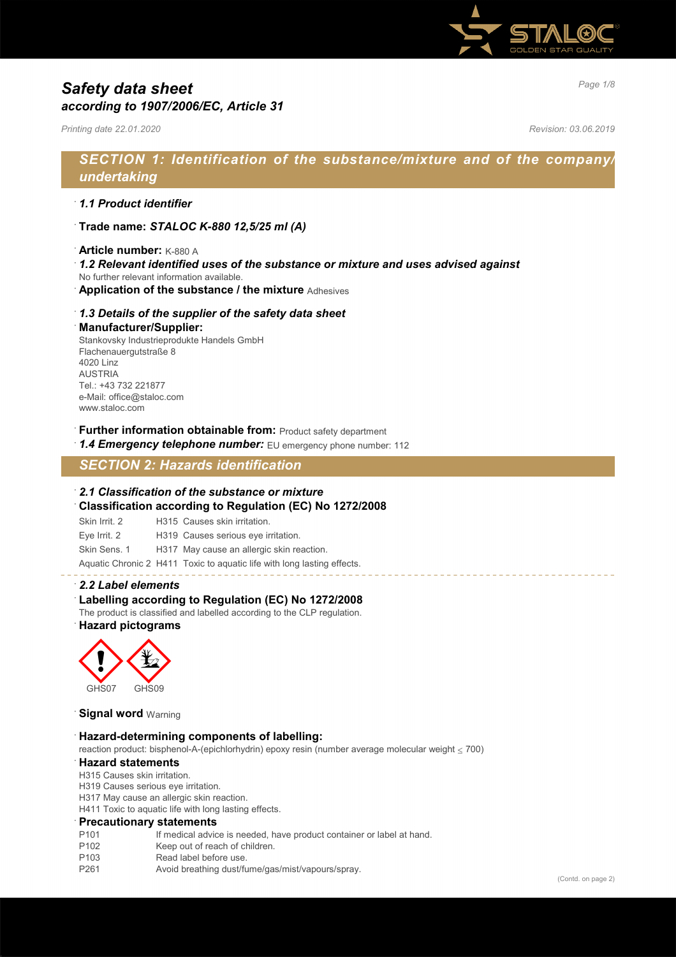

# *Page 1/8 Safety data sheet according to 1907/2006/EC, Article 31*

*Printing date 22.01.2020 Revision: 03.06.2019*

## *SECTION 1: Identification of the substance/mixture and of the company/ undertaking*

## · *1.1 Product identifier*

- · **Trade name:** *STALOC K-880 12,5/25 ml (A)*
- · **Article number:** K-880 A
- · *1.2 Relevant identified uses of the substance or mixture and uses advised against*
- No further relevant information available.
- · **Application of the substance / the mixture** Adhesives

#### · *1.3 Details of the supplier of the safety data sheet*

#### · **Manufacturer/Supplier:**

Stankovsky Industrieprodukte Handels GmbH Flachenauergutstraße 8 4020 Linz AUSTRIA Tel.: +43 732 221877 e-Mail: office@staloc.com www.staloc.com

- **Further information obtainable from:** Product safety department
- 1.4 **Emergency telephone number:** EU emergency phone number: 112

## *SECTION 2: Hazards identification*

#### · *2.1 Classification of the substance or mixture*

- · **Classification according to Regulation (EC) No 1272/2008**
- Skin Irrit. 2 H315 Causes skin irritation.
- Eye Irrit. 2 H319 Causes serious eye irritation.
- Skin Sens. 1 H317 May cause an allergic skin reaction.

Aquatic Chronic 2 H411 Toxic to aquatic life with long lasting effects.

#### · *2.2 Label elements*

#### Labelling according to Regulation (EC) No 1272/2008

The product is classified and labelled according to the CLP regulation. · **Hazard pictograms**



#### **Signal word Warning**

#### · **Hazard-determining components of labelling:**

reaction product: bisphenol-A-(epichlorhydrin) epoxy resin (number average molecular weight ≤ 700)

#### · **Hazard statements**

- H315 Causes skin irritation.
- H319 Causes serious eye irritation.
- H317 May cause an allergic skin reaction.
- H411 Toxic to aquatic life with long lasting effects.

#### · **Precautionary statements**

- P101 If medical advice is needed, have product container or label at hand.<br>P102 Keep out of reach of children.
- Keep out of reach of children.
- P103 Read label before use.
- P261 Avoid breathing dust/fume/gas/mist/vapours/spray.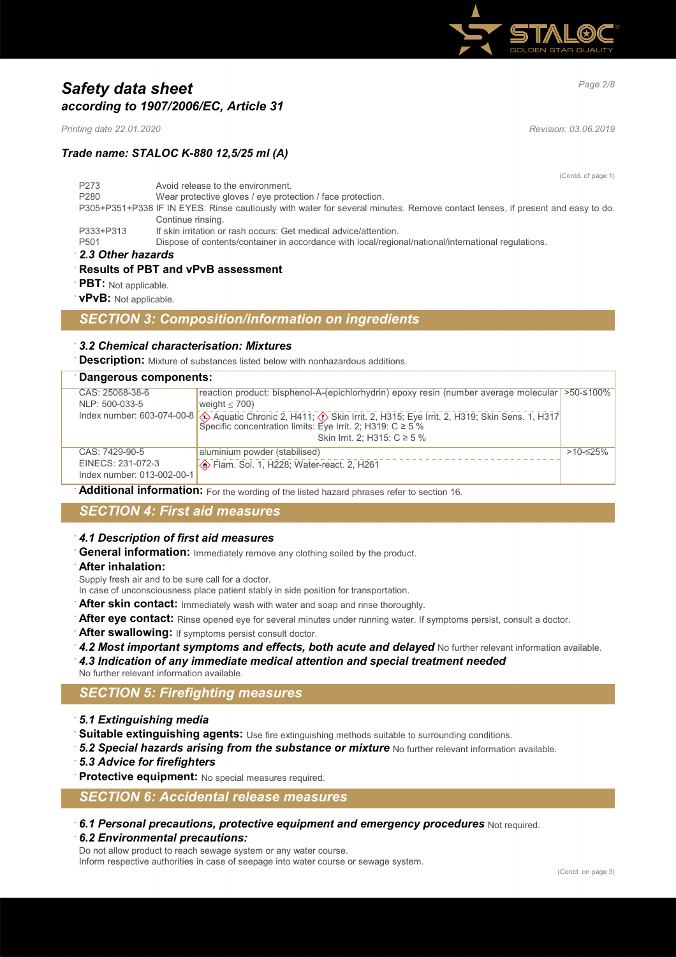

# *Page 2/8 Safety data sheet according to 1907/2006/EC, Article 31*

*Printing date 22.01.2020 Revision: 03.06.2019*

*Trade name: STALOC K-880 12,5/25 ml (A)*

(Contd. of page 1) P273 Avoid release to the environment. P280 Wear protective gloves / eye protection / face protection. P305+P351+P338 IF IN EYES: Rinse cautiously with water for several minutes. Remove contact lenses, if present and easy to do. Continue rinsing. P333+P313 If skin irritation or rash occurs: Get medical advice/attention.<br>P501 Dispose of contents/container in accordance with local/regio Dispose of contents/container in accordance with local/regional/national/international regulations. · *2.3 Other hazards*

### · **Results of PBT and vPvB assessment**

**PBT:** Not applicable.

· **vPvB:** Not applicable.

## *SECTION 3: Composition/information on ingredients*

#### · *3.2 Chemical characterisation: Mixtures*

**Description:** Mixture of substances listed below with nonhazardous additions.

| Dangerous components:                           |                                                                                                                                                                                                                                         |            |
|-------------------------------------------------|-----------------------------------------------------------------------------------------------------------------------------------------------------------------------------------------------------------------------------------------|------------|
| CAS: 25068-38-6                                 | reaction product: bisphenol-A-(epichlorhydrin) epoxy resin (number average molecular > > 50-≤100%                                                                                                                                       |            |
| NLP: 500-033-5                                  | weight $<$ 700)                                                                                                                                                                                                                         |            |
|                                                 | Index number: 603-074-00-8 $\bigotimes$ Aquatic Chronic 2, H411; $\bigotimes$ Skin Irrit. 2, H315; Eye Irrit. 2, H319; Skin Sens. 1, H317<br>Specific concentration limits: Eye Irrit. 2; H319: C ≥ 5 %<br>Skin Irrit. 2; H315: C ≥ 5 % |            |
| CAS: 7429-90-5                                  | aluminium powder (stabilised)                                                                                                                                                                                                           | $>10-≤25%$ |
| EINECS: 231-072-3<br>Index number: 013-002-00-1 |                                                                                                                                                                                                                                         |            |

Additional information: For the wording of the listed hazard phrases refer to section 16.

## *SECTION 4: First aid measures*

#### · *4.1 Description of first aid measures*

**General information:** Immediately remove any clothing soiled by the product.

· **After inhalation:**

Supply fresh air and to be sure call for a doctor.

- In case of unconsciousness place patient stably in side position for transportation.
- After skin contact: Immediately wash with water and soap and rinse thoroughly.
- After eye contact: Rinse opened eye for several minutes under running water. If symptoms persist, consult a doctor.
- After swallowing: If symptoms persist consult doctor.
- 4.2 Most important symptoms and effects, both acute and delayed No further relevant information available.
- · *4.3 Indication of any immediate medical attention and special treatment needed*
- No further relevant information available.

## *SECTION 5: Firefighting measures*

- · *5.1 Extinguishing media*
- Suitable extinguishing agents: Use fire extinguishing methods suitable to surrounding conditions.
- 5.2 Special hazards arising from the substance or mixture No further relevant information available.
- · *5.3 Advice for firefighters*

Protective equipment: No special measures required.

## *SECTION 6: Accidental release measures*

· *6.1 Personal precautions, protective equipment and emergency procedures* Not required. · *6.2 Environmental precautions:*

Do not allow product to reach sewage system or any water course.

Inform respective authorities in case of seepage into water course or sewage system.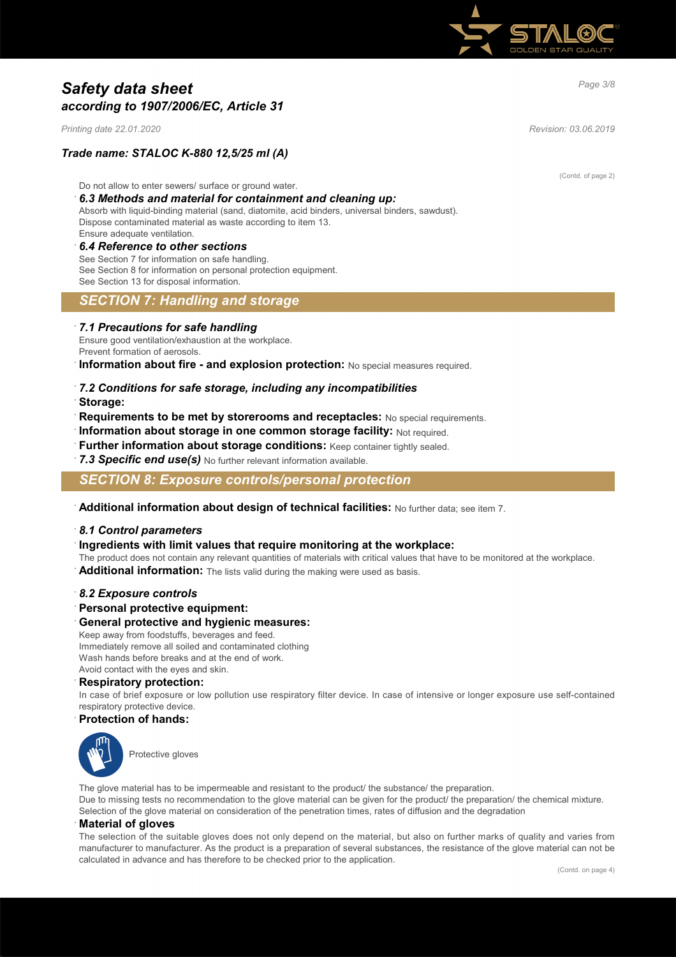

# *Page 3/8 Safety data sheet according to 1907/2006/EC, Article 31*

*Printing date 22.01.2020 Revision: 03.06.2019*

### *Trade name: STALOC K-880 12,5/25 ml (A)*

Do not allow to enter sewers/ surface or ground water.

#### · *6.3 Methods and material for containment and cleaning up:*

Absorb with liquid-binding material (sand, diatomite, acid binders, universal binders, sawdust). Dispose contaminated material as waste according to item 13. Ensure adequate ventilation.

#### · *6.4 Reference to other sections*

See Section 7 for information on safe handling. See Section 8 for information on personal protection equipment. See Section 13 for disposal information.

### *SECTION 7: Handling and storage*

#### · *7.1 Precautions for safe handling*

Ensure good ventilation/exhaustion at the workplace. Prevent formation of aerosols.

**Information about fire - and explosion protection:** No special measures required.

- · *7.2 Conditions for safe storage, including any incompatibilities*
- · **Storage:**
- · **Requirements to be met by storerooms and receptacles:** No special requirements.
- · **Information about storage in one common storage facility:** Not required.
- · **Further information about storage conditions:** Keep container tightly sealed.
- 7.3 Specific end use(s) No further relevant information available.

*SECTION 8: Exposure controls/personal protection*

· **Additional information about design of technical facilities:** No further data; see item 7.

#### · *8.1 Control parameters*

- · **Ingredients with limit values that require monitoring at the workplace:**
- The product does not contain any relevant quantities of materials with critical values that have to be monitored at the workplace.
- Additional information: The lists valid during the making were used as basis.

#### · *8.2 Exposure controls*

· **Personal protective equipment:**

#### · **General protective and hygienic measures:**

Keep away from foodstuffs, beverages and feed. Immediately remove all soiled and contaminated clothing Wash hands before breaks and at the end of work. Avoid contact with the eyes and skin.

#### · **Respiratory protection:**

In case of brief exposure or low pollution use respiratory filter device. In case of intensive or longer exposure use self-contained respiratory protective device.

· **Protection of hands:**



The glove material has to be impermeable and resistant to the product/ the substance/ the preparation. Due to missing tests no recommendation to the glove material can be given for the product/ the preparation/ the chemical mixture. Selection of the glove material on consideration of the penetration times, rates of diffusion and the degradation

#### · **Material of gloves**

The selection of the suitable gloves does not only depend on the material, but also on further marks of quality and varies from manufacturer to manufacturer. As the product is a preparation of several substances, the resistance of the glove material can not be calculated in advance and has therefore to be checked prior to the application.

(Contd. of page 2)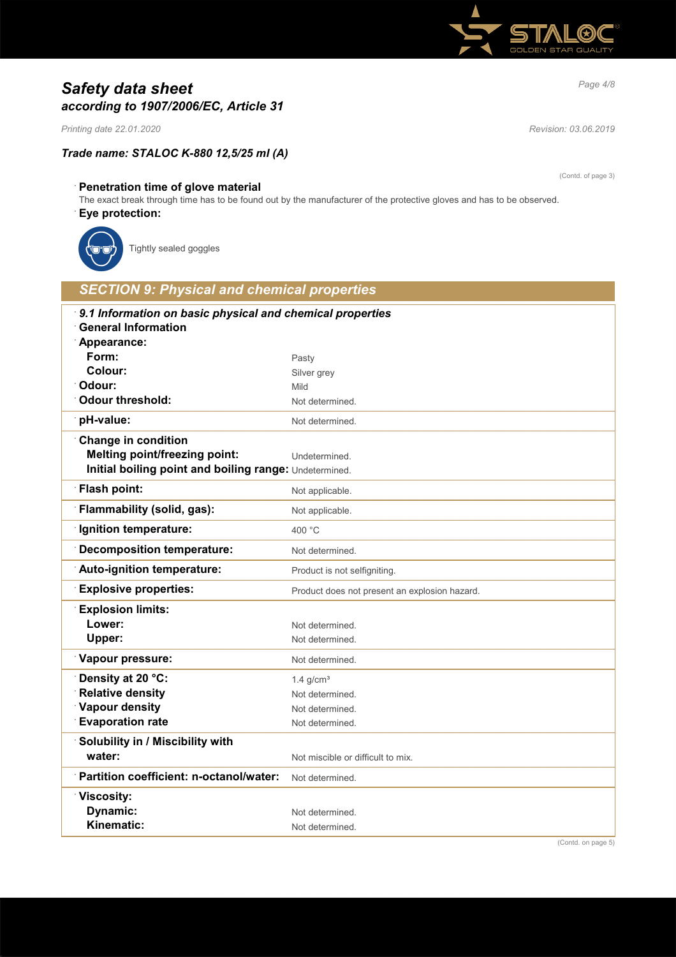

# *Page 4/8 Safety data sheet according to 1907/2006/EC, Article 31*

*Printing date 22.01.2020 Revision: 03.06.2019*

## *Trade name: STALOC K-880 12,5/25 ml (A)*

(Contd. of page 3)

## · **Penetration time of glove material**

The exact break through time has to be found out by the manufacturer of the protective gloves and has to be observed.

### · **Eye protection:**



Tightly sealed goggles

| <b>SECTION 9: Physical and chemical properties</b>                                             |                                               |
|------------------------------------------------------------------------------------------------|-----------------------------------------------|
| 9.1 Information on basic physical and chemical properties                                      |                                               |
| <b>General Information</b>                                                                     |                                               |
| Appearance:                                                                                    |                                               |
| Form:<br>Colour:                                                                               | Pasty                                         |
| Odour:                                                                                         | Silver grey<br>Mild                           |
| <b>Odour threshold:</b>                                                                        | Not determined.                               |
| pH-value:                                                                                      | Not determined.                               |
|                                                                                                |                                               |
| <b>Change in condition</b>                                                                     |                                               |
| <b>Melting point/freezing point:</b><br>Initial boiling point and boiling range: Undetermined. | Undetermined.                                 |
|                                                                                                |                                               |
| <b>Flash point:</b>                                                                            | Not applicable.                               |
| <b>Flammability (solid, gas):</b>                                                              | Not applicable.                               |
| Ignition temperature:                                                                          | 400 °C                                        |
| Decomposition temperature:                                                                     | Not determined.                               |
| Auto-ignition temperature:                                                                     | Product is not selfigniting.                  |
| <b>Explosive properties:</b>                                                                   | Product does not present an explosion hazard. |
| <b>Explosion limits:</b>                                                                       |                                               |
| Lower:                                                                                         | Not determined.                               |
| Upper:                                                                                         | Not determined.                               |
| Vapour pressure:                                                                               | Not determined.                               |
| Density at 20 °C:                                                                              | 1.4 $q/cm3$                                   |
| <b>Relative density</b>                                                                        | Not determined.                               |
| Vapour density                                                                                 | Not determined.                               |
| <b>Evaporation rate</b>                                                                        | Not determined.                               |
| Solubility in / Miscibility with                                                               |                                               |
| water:                                                                                         | Not miscible or difficult to mix.             |
| <b>Partition coefficient: n-octanol/water:</b>                                                 | Not determined.                               |
| <b>Viscosity:</b>                                                                              |                                               |
| Dynamic:                                                                                       | Not determined.                               |
| Kinematic:                                                                                     | Not determined.                               |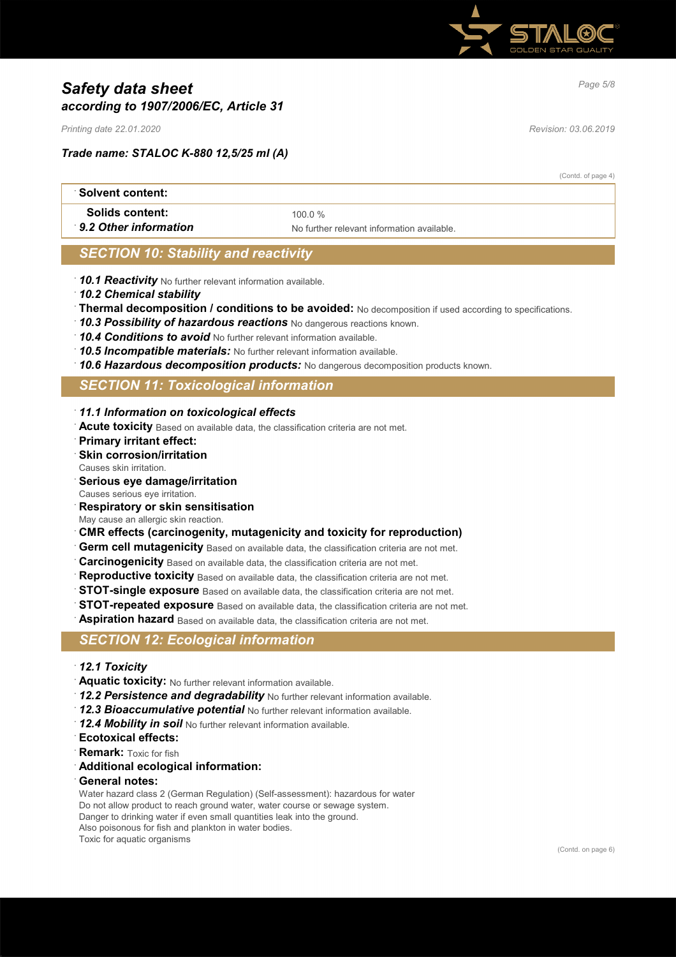

# *Page 5/8 Safety data sheet according to 1907/2006/EC, Article 31*

*Printing date 22.01.2020 Revision: 03.06.2019*

### *Trade name: STALOC K-880 12,5/25 ml (A)*

(Contd. of page 4)

| ∴Solvent content:                        |                                            |  |
|------------------------------------------|--------------------------------------------|--|
| Solids content:<br>9.2 Other information | 100 $0\%$                                  |  |
|                                          | No further relevant information available. |  |

## *SECTION 10: Stability and reactivity*

- · *10.1 Reactivity* No further relevant information available.
- · *10.2 Chemical stability*
- · **Thermal decomposition / conditions to be avoided:** No decomposition if used according to specifications.
- · *10.3 Possibility of hazardous reactions* No dangerous reactions known.
- · *10.4 Conditions to avoid* No further relevant information available.
- · *10.5 Incompatible materials:* No further relevant information available.
- · *10.6 Hazardous decomposition products:* No dangerous decomposition products known.

## *SECTION 11: Toxicological information*

- · *11.1 Information on toxicological effects*
- · **Acute toxicity** Based on available data, the classification criteria are not met.
- · **Primary irritant effect:**
- **Skin corrosion/irritation**
- Causes skin irritation.
- · **Serious eye damage/irritation**
- Causes serious eye irritation.
- · **Respiratory or skin sensitisation**
- May cause an allergic skin reaction.
- · **CMR effects (carcinogenity, mutagenicity and toxicity for reproduction)**
- **Germ cell mutagenicity** Based on available data, the classification criteria are not met.
- · **Carcinogenicity** Based on available data, the classification criteria are not met.
- Reproductive toxicity Based on available data, the classification criteria are not met.
- **STOT-single exposure** Based on available data, the classification criteria are not met.
- **STOT-repeated exposure** Based on available data, the classification criteria are not met.
- **Aspiration hazard** Based on available data, the classification criteria are not met.

## *SECTION 12: Ecological information*

- · *12.1 Toxicity*
- · **Aquatic toxicity:** No further relevant information available.
- · *12.2 Persistence and degradability* No further relevant information available.
- · *12.3 Bioaccumulative potential* No further relevant information available.
- · *12.4 Mobility in soil* No further relevant information available.
- · **Ecotoxical effects:**
- **Remark:** Toxic for fish
- · **Additional ecological information:**
- · **General notes:**

Water hazard class 2 (German Regulation) (Self-assessment): hazardous for water Do not allow product to reach ground water, water course or sewage system. Danger to drinking water if even small quantities leak into the ground. Also poisonous for fish and plankton in water bodies.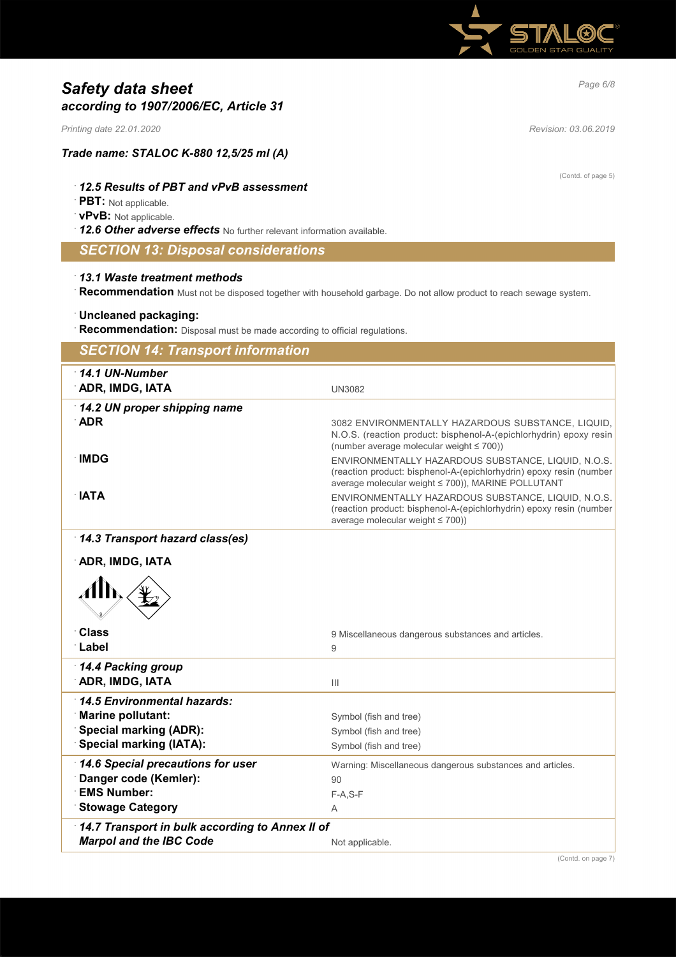

# *Page 6/8 Safety data sheet according to 1907/2006/EC, Article 31*

*Printing date 22.01.2020 Revision: 03.06.2019*

### *Trade name: STALOC K-880 12,5/25 ml (A)*

#### · *12.5 Results of PBT and vPvB assessment*

· **PBT:** Not applicable.

#### · **vPvB:** Not applicable.

· *12.6 Other adverse effects* No further relevant information available.

## *SECTION 13: Disposal considerations*

#### · *13.1 Waste treatment methods*

· **Recommendation** Must not be disposed together with household garbage. Do not allow product to reach sewage system.

#### · **Uncleaned packaging:**

**Recommendation:** Disposal must be made according to official regulations.

| <b>SECTION 14: Transport information</b>                  |                                                                                                                           |
|-----------------------------------------------------------|---------------------------------------------------------------------------------------------------------------------------|
| 14.1 UN-Number                                            |                                                                                                                           |
| ADR, IMDG, IATA                                           | <b>UN3082</b>                                                                                                             |
| 14.2 UN proper shipping name                              |                                                                                                                           |
| <b>ADR</b>                                                | 3082 ENVIRONMENTALLY HAZARDOUS SUBSTANCE, LIQUID,                                                                         |
|                                                           | N.O.S. (reaction product: bisphenol-A-(epichlorhydrin) epoxy resin<br>(number average molecular weight $\leq 700$ ))      |
| ∴IMDG                                                     | ENVIRONMENTALLY HAZARDOUS SUBSTANCE, LIQUID, N.O.S.                                                                       |
|                                                           | (reaction product: bisphenol-A-(epichlorhydrin) epoxy resin (number<br>average molecular weight ≤ 700)), MARINE POLLUTANT |
| ∴IATA                                                     | ENVIRONMENTALLY HAZARDOUS SUBSTANCE, LIQUID, N.O.S.                                                                       |
|                                                           | (reaction product: bisphenol-A-(epichlorhydrin) epoxy resin (number<br>average molecular weight ≤ 700))                   |
| 14.3 Transport hazard class(es)                           |                                                                                                                           |
|                                                           |                                                                                                                           |
| <b>ADR, IMDG, IATA</b>                                    |                                                                                                                           |
| Иĥ                                                        |                                                                                                                           |
|                                                           |                                                                                                                           |
|                                                           |                                                                                                                           |
| <b>Class</b>                                              | 9 Miscellaneous dangerous substances and articles.                                                                        |
| Label                                                     | $\overline{9}$                                                                                                            |
| 14.4 Packing group                                        |                                                                                                                           |
| <b>ADR, IMDG, IATA</b>                                    | $\mathbf{III}$                                                                                                            |
| 14.5 Environmental hazards:                               |                                                                                                                           |
| <b>Marine pollutant:</b><br><b>Special marking (ADR):</b> | Symbol (fish and tree)                                                                                                    |
| <b>Special marking (IATA):</b>                            | Symbol (fish and tree)<br>Symbol (fish and tree)                                                                          |
| 14.6 Special precautions for user                         |                                                                                                                           |
| Danger code (Kemler):                                     | Warning: Miscellaneous dangerous substances and articles.<br>90                                                           |
| <b>EMS Number:</b>                                        | $F-A, S-F$                                                                                                                |
| <b>Stowage Category</b>                                   | A                                                                                                                         |
| 14.7 Transport in bulk according to Annex II of           |                                                                                                                           |
| <b>Marpol and the IBC Code</b>                            | Not applicable.                                                                                                           |

(Contd. of page 5)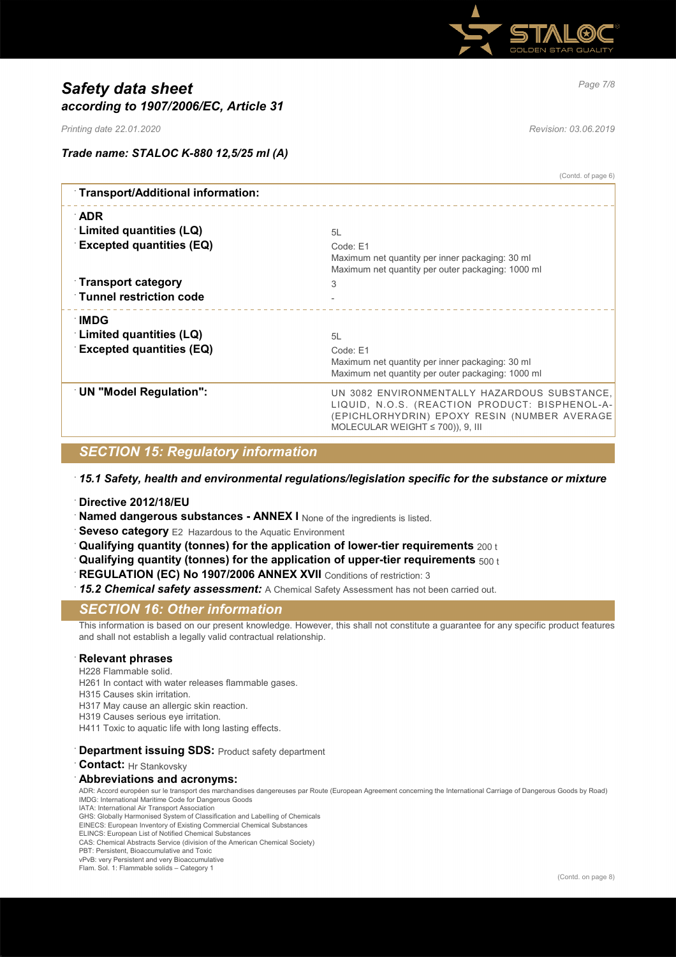

# *Page 7/8 Safety data sheet according to 1907/2006/EC, Article 31*

*Printing date 22.01.2020 Revision: 03.06.2019*

(Contd. of page 6)

## *Trade name: STALOC K-880 12,5/25 ml (A)*

| 5L                                                                                                                                                                                      |
|-----------------------------------------------------------------------------------------------------------------------------------------------------------------------------------------|
| Code: E1<br>Maximum net quantity per inner packaging: 30 ml<br>Maximum net quantity per outer packaging: 1000 ml                                                                        |
| 3                                                                                                                                                                                       |
|                                                                                                                                                                                         |
|                                                                                                                                                                                         |
| 5L                                                                                                                                                                                      |
| Code: E1                                                                                                                                                                                |
| Maximum net quantity per inner packaging: 30 ml<br>Maximum net quantity per outer packaging: 1000 ml                                                                                    |
| UN 3082 ENVIRONMENTALLY HAZARDOUS SUBSTANCE,<br>LIQUID, N.O.S. (REACTION PRODUCT: BISPHENOL-A-<br>(EPICHLORHYDRIN) EPOXY RESIN (NUMBER AVERAGE<br>MOLECULAR WEIGHT $\leq$ 700)), 9, III |
|                                                                                                                                                                                         |

## *SECTION 15: Regulatory information*

### · *15.1 Safety, health and environmental regulations/legislation specific for the substance or mixture*

- · **Directive 2012/18/EU**
- **Named dangerous substances ANNEX I** None of the ingredients is listed.
- **Seveso category** E2 Hazardous to the Aquatic Environment
- · **Qualifying quantity (tonnes) for the application of lower-tier requirements** 200 t
- · **Qualifying quantity (tonnes) for the application of upper-tier requirements** 500 t
- **REGULATION (EC) No 1907/2006 ANNEX XVII** Conditions of restriction: 3
- · *15.2 Chemical safety assessment:* A Chemical Safety Assessment has not been carried out.

### *SECTION 16: Other information*

This information is based on our present knowledge. However, this shall not constitute a guarantee for any specific product features and shall not establish a legally valid contractual relationship.

#### · **Relevant phrases**

H228 Flammable solid.

H261 In contact with water releases flammable gases.

- H315 Causes skin irritation.
- H317 May cause an allergic skin reaction.
- H319 Causes serious eye irritation.
- H411 Toxic to aquatic life with long lasting effects.

#### **Department issuing SDS: Product safety department**

· **Contact:** Hr Stankovsky

#### · **Abbreviations and acronyms:**

ADR: Accord européen sur le transport des marchandises dangereuses par Route (European Agreement concerning the International Carriage of Dangerous Goods by Road) IMDG: International Maritime Code for Dangerous Goods

IATA: International Air Transport Association GHS: Globally Harmonised System of Classification and Labelling of Chemicals

EINECS: European Inventory of Existing Commercial Chemical Substances ELINCS: European List of Notified Chemical Substances

CAS: Chemical Abstracts Service (division of the American Chemical Society)

PBT: Persistent, Bioaccumulative and Toxic

vPvB: very Persistent and very Bioaccumulative

Flam. Sol. 1: Flammable solids – Category 1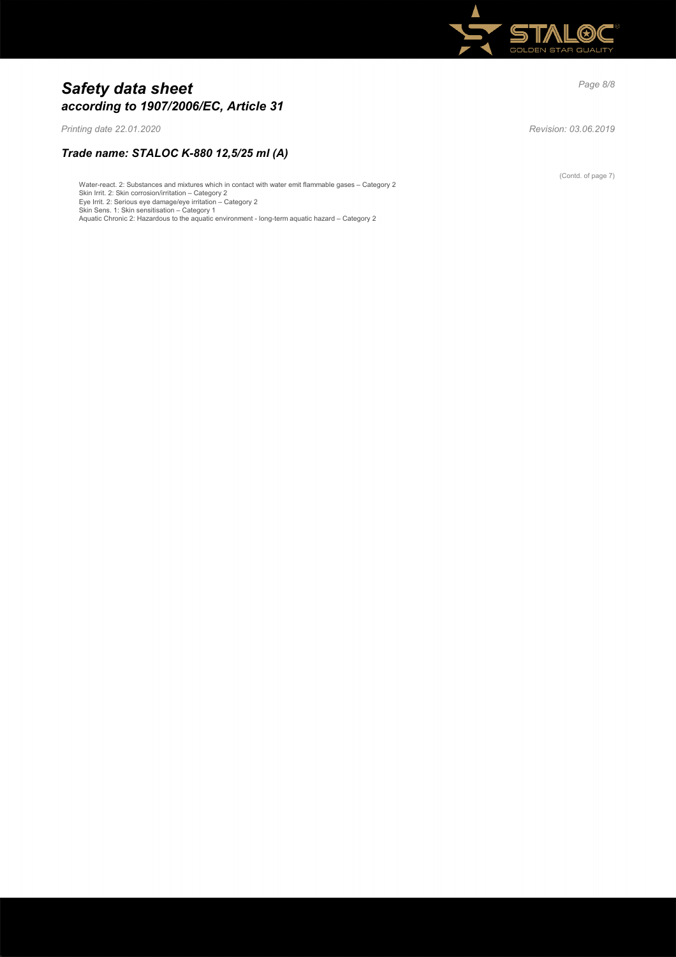

# *Page 8/8 Safety data sheet according to 1907/2006/EC, Article 31*

*Printing date 22.01.2020 Revision: 03.06.2019*

## *Trade name: STALOC K-880 12,5/25 ml (A)*

Water-react. 2: Substances and mixtures which in contact with water emit flammable gases – Category 2

Skin Irrit. 2: Skin corrosion/irritation – Category 2 Eye Irrit. 2: Serious eye damage/eye irritation – Category 2 Skin Sens. 1: Skin sensitisation – Category 1

Aquatic Chronic 2: Hazardous to the aquatic environment - long-term aquatic hazard – Category 2

(Contd. of page 7)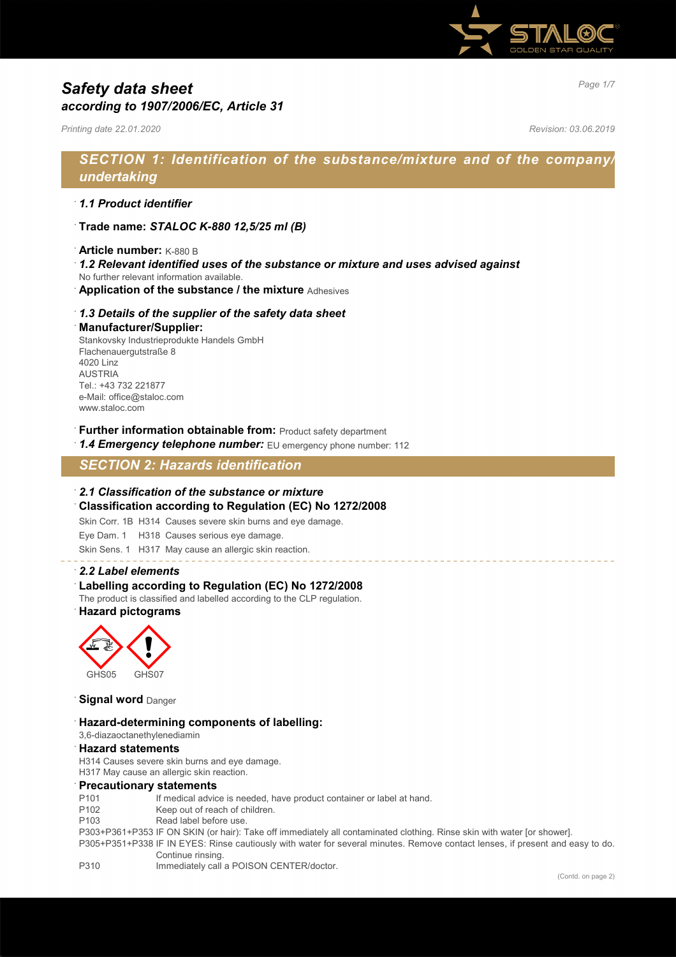

# *Page 1/7 Safety data sheet according to 1907/2006/EC, Article 31*

*Printing date 22.01.2020 Revision: 03.06.2019*

## *SECTION 1: Identification of the substance/mixture and of the company/ undertaking*

#### · *1.1 Product identifier*

- · **Trade name:** *STALOC K-880 12,5/25 ml (B)*
- · **Article number:** K-880 B
- · *1.2 Relevant identified uses of the substance or mixture and uses advised against*
- No further relevant information available.
- · **Application of the substance / the mixture** Adhesives

#### · *1.3 Details of the supplier of the safety data sheet*

#### · **Manufacturer/Supplier:**

Stankovsky Industrieprodukte Handels GmbH Flachenauergutstraße 8 4020 Linz AUSTRIA Tel.: +43 732 221877 e-Mail: office@staloc.com www.staloc.com

- **Further information obtainable from:** Product safety department
- 1.4 **Emergency telephone number:** EU emergency phone number: 112

## *SECTION 2: Hazards identification*

#### · *2.1 Classification of the substance or mixture*

· **Classification according to Regulation (EC) No 1272/2008**

Skin Corr. 1B H314 Causes severe skin burns and eye damage.

Eye Dam. 1 H318 Causes serious eye damage.

Skin Sens. 1 H317 May cause an allergic skin reaction.

#### · *2.2 Label elements*

Labelling according to Regulation (EC) No 1272/2008

The product is classified and labelled according to the CLP regulation.

· **Hazard pictograms**



#### **Signal word** Danger

#### · **Hazard-determining components of labelling:**

#### 3,6-diazaoctanethylenediamin

#### · **Hazard statements**

H314 Causes severe skin burns and eye damage. H317 May cause an allergic skin reaction.

## · **Precautionary statements**

- P101 If medical advice is needed, have product container or label at hand.
- 
- P102 Keep out of reach of children.<br>P103 Read label before use. Read label before use.
- P303+P361+P353 IF ON SKIN (or hair): Take off immediately all contaminated clothing. Rinse skin with water [or shower].
- P305+P351+P338 IF IN EYES: Rinse cautiously with water for several minutes. Remove contact lenses, if present and easy to do. Continue rinsing.
- P310 Immediately call a POISON CENTER/doctor.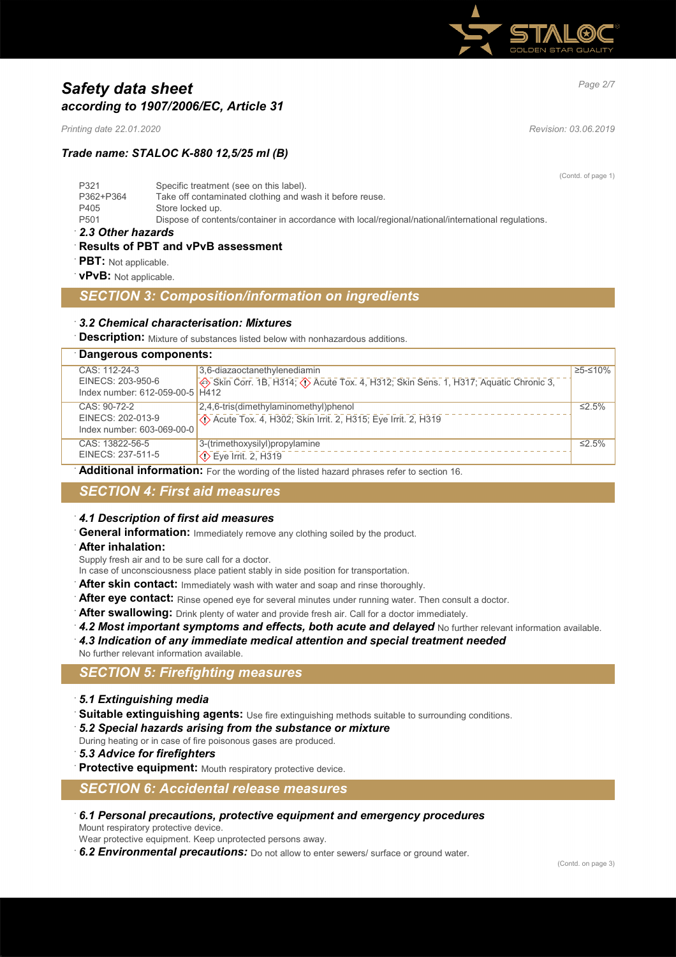

# *Page 2/7 Safety data sheet according to 1907/2006/EC, Article 31*

*Printing date 22.01.2020 Revision: 03.06.2019*

*Trade name: STALOC K-880 12,5/25 ml (B)*

(Contd. of page 1)

| P321             | Specific treatment (see on this label).                                                             |
|------------------|-----------------------------------------------------------------------------------------------------|
| P362+P364        | Take off contaminated clothing and wash it before reuse.                                            |
| P405             | Store locked up.                                                                                    |
| P <sub>501</sub> | Dispose of contents/container in accordance with local/regional/national/international regulations. |

· *2.3 Other hazards*

· **Results of PBT and vPvB assessment**

**PBT:** Not applicable.

· **vPvB:** Not applicable.

### *SECTION 3: Composition/information on ingredients*

#### · *3.2 Chemical characterisation: Mixtures*

**Description:** Mixture of substances listed below with nonhazardous additions.

#### · **Dangerous components:**

| CAS: 112-24-3                   | 3,6-diazaoctanethylenediamin                                                        | ≥5-≤10% |
|---------------------------------|-------------------------------------------------------------------------------------|---------|
| EINECS: 203-950-6               | Skin Corr. 1B, H314; (1) Acute Tox. 4, H312; Skin Sens. 1, H317; Aquatic Chronic 3, |         |
| Index number: 612-059-00-5 H412 |                                                                                     |         |
| CAS: 90-72-2                    | $2.4.6$ -tris(dimethylaminomethyl)phenol                                            | ≤2.5%   |
| EINECS: 202-013-9               | Acute Tox. 4, H302; Skin Irrit. 2, H315; Eye Irrit. 2, H319                         |         |
| Index number: 603-069-00-0      |                                                                                     |         |
| CAS: 13822-56-5                 | 3-(trimethoxysilyl)propylamine                                                      | ≤2.5%   |
| EINECS: 237-511-5               | $\diamondsuit$ Eye Irrit. 2, H319                                                   |         |

Additional information: For the wording of the listed hazard phrases refer to section 16.

## *SECTION 4: First aid measures*

- · *4.1 Description of first aid measures*
- **General information:** Immediately remove any clothing soiled by the product.
- · **After inhalation:**

Supply fresh air and to be sure call for a doctor.

- In case of unconsciousness place patient stably in side position for transportation.
- After skin contact: Immediately wash with water and soap and rinse thoroughly.
- After eye contact: Rinse opened eye for several minutes under running water. Then consult a doctor.
- After swallowing: Drink plenty of water and provide fresh air. Call for a doctor immediately.
- 4.2 Most important symptoms and effects, both acute and delayed No further relevant information available.
- · *4.3 Indication of any immediate medical attention and special treatment needed*
- No further relevant information available.

## *SECTION 5: Firefighting measures*

- · *5.1 Extinguishing media*
- Suitable extinguishing agents: Use fire extinguishing methods suitable to surrounding conditions. · *5.2 Special hazards arising from the substance or mixture*
- During heating or in case of fire poisonous gases are produced.
- · *5.3 Advice for firefighters*
- Protective equipment: Mouth respiratory protective device.

*SECTION 6: Accidental release measures*

· *6.1 Personal precautions, protective equipment and emergency procedures* Mount respiratory protective device.

Wear protective equipment. Keep unprotected persons away.

· *6.2 Environmental precautions:* Do not allow to enter sewers/ surface or ground water.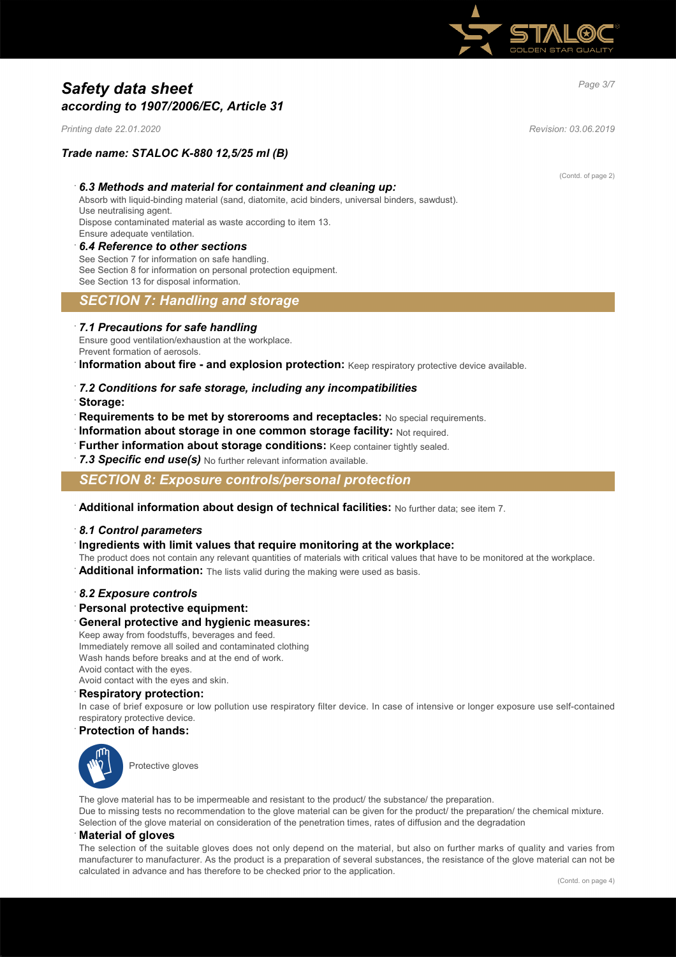

# *Page 3/7 Safety data sheet according to 1907/2006/EC, Article 31*

*Printing date 22.01.2020 Revision: 03.06.2019*

### *Trade name: STALOC K-880 12,5/25 ml (B)*

#### · *6.3 Methods and material for containment and cleaning up:*

Absorb with liquid-binding material (sand, diatomite, acid binders, universal binders, sawdust). Use neutralising agent.

Dispose contaminated material as waste according to item 13. Ensure adequate ventilation.

#### · *6.4 Reference to other sections*

See Section 7 for information on safe handling. See Section 8 for information on personal protection equipment. See Section 13 for disposal information.

## *SECTION 7: Handling and storage*

#### · *7.1 Precautions for safe handling*

Ensure good ventilation/exhaustion at the workplace. Prevent formation of aerosols.

**Information about fire - and explosion protection:** Keep respiratory protective device available.

- · *7.2 Conditions for safe storage, including any incompatibilities*
- · **Storage:**
- · **Requirements to be met by storerooms and receptacles:** No special requirements.
- · **Information about storage in one common storage facility:** Not required.
- · **Further information about storage conditions:** Keep container tightly sealed.
- 7.3 Specific end use(s) No further relevant information available.

*SECTION 8: Exposure controls/personal protection*

· **Additional information about design of technical facilities:** No further data; see item 7.

#### · *8.1 Control parameters*

- · **Ingredients with limit values that require monitoring at the workplace:**
- The product does not contain any relevant quantities of materials with critical values that have to be monitored at the workplace.
- Additional information: The lists valid during the making were used as basis.

#### · *8.2 Exposure controls*

· **Personal protective equipment:**

#### · **General protective and hygienic measures:**

Keep away from foodstuffs, beverages and feed. Immediately remove all soiled and contaminated clothing Wash hands before breaks and at the end of work. Avoid contact with the eyes. Avoid contact with the eyes and skin.

## · **Respiratory protection:**

In case of brief exposure or low pollution use respiratory filter device. In case of intensive or longer exposure use self-contained respiratory protective device.

#### · **Protection of hands:**



Protective gloves

The glove material has to be impermeable and resistant to the product/ the substance/ the preparation. Due to missing tests no recommendation to the glove material can be given for the product/ the preparation/ the chemical mixture. Selection of the glove material on consideration of the penetration times, rates of diffusion and the degradation

#### · **Material of gloves**

The selection of the suitable gloves does not only depend on the material, but also on further marks of quality and varies from manufacturer to manufacturer. As the product is a preparation of several substances, the resistance of the glove material can not be calculated in advance and has therefore to be checked prior to the application.

(Contd. of page 2)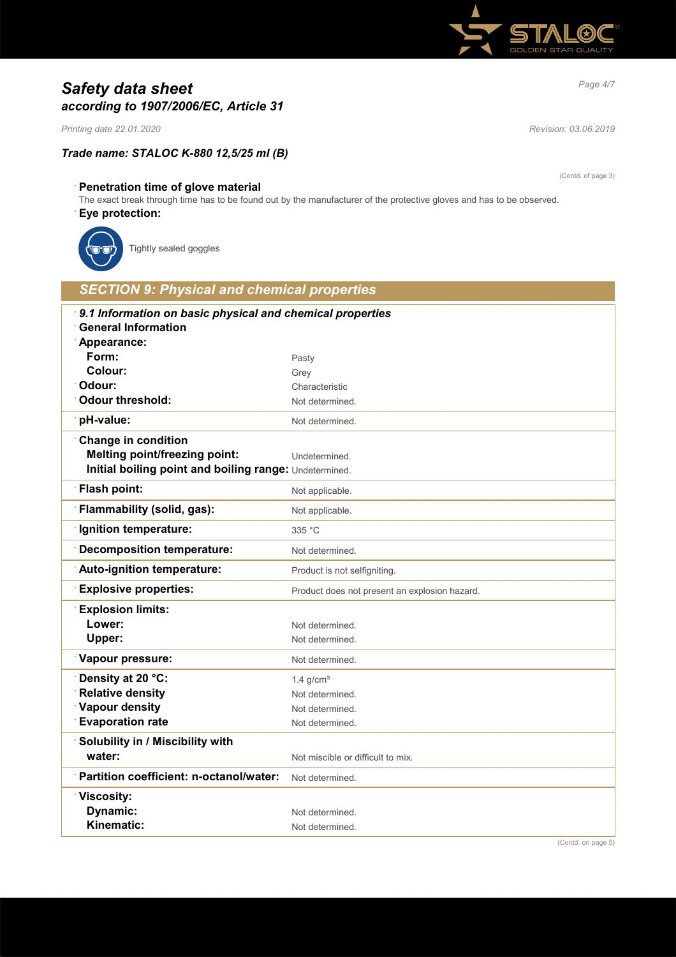

# *Page 4/7 Safety data sheet according to 1907/2006/EC, Article 31*

*Printing date 22.01.2020 Revision: 03.06.2019*

## *Trade name: STALOC K-880 12,5/25 ml (B)*

(Contd. of page 3)

## · **Penetration time of glove material**

The exact break through time has to be found out by the manufacturer of the protective gloves and has to be observed.

### · **Eye protection:**



Tightly sealed goggles

| <b>SECTION 9: Physical and chemical properties</b>                                                     |                                               |
|--------------------------------------------------------------------------------------------------------|-----------------------------------------------|
| 9.1 Information on basic physical and chemical properties<br><b>General Information</b><br>Appearance: |                                               |
| Form:                                                                                                  | Pasty                                         |
| Colour:                                                                                                | Grey                                          |
| Odour:                                                                                                 | Characteristic                                |
| <b>Odour threshold:</b>                                                                                | Not determined.                               |
| pH-value:                                                                                              | Not determined.                               |
| <b>Change in condition</b>                                                                             |                                               |
| <b>Melting point/freezing point:</b>                                                                   | Undetermined.                                 |
| Initial boiling point and boiling range: Undetermined.                                                 |                                               |
| <b>Flash point:</b>                                                                                    | Not applicable.                               |
| Flammability (solid, gas):                                                                             | Not applicable.                               |
| <b>Ignition temperature:</b>                                                                           | 335 °C                                        |
| Decomposition temperature:                                                                             | Not determined.                               |
| Auto-ignition temperature:                                                                             | Product is not selfigniting.                  |
| <b>Explosive properties:</b>                                                                           | Product does not present an explosion hazard. |
| <b>Explosion limits:</b>                                                                               |                                               |
| Lower:                                                                                                 | Not determined.                               |
| Upper:                                                                                                 | Not determined.                               |
| Vapour pressure:                                                                                       | Not determined.                               |
| Density at 20 °C:                                                                                      | $1.4$ g/cm <sup>3</sup>                       |
| <b>Relative density</b>                                                                                | Not determined.                               |
| <b>Vapour density</b>                                                                                  | Not determined.                               |
| <b>Evaporation rate</b>                                                                                | Not determined.                               |
| Solubility in / Miscibility with                                                                       |                                               |
| water:                                                                                                 | Not miscible or difficult to mix.             |
| Partition coefficient: n-octanol/water:                                                                | Not determined.                               |
| <b><i>∀</i>iscosity:</b>                                                                               |                                               |
| Dynamic:                                                                                               | Not determined.                               |
| Kinematic:                                                                                             | Not determined.                               |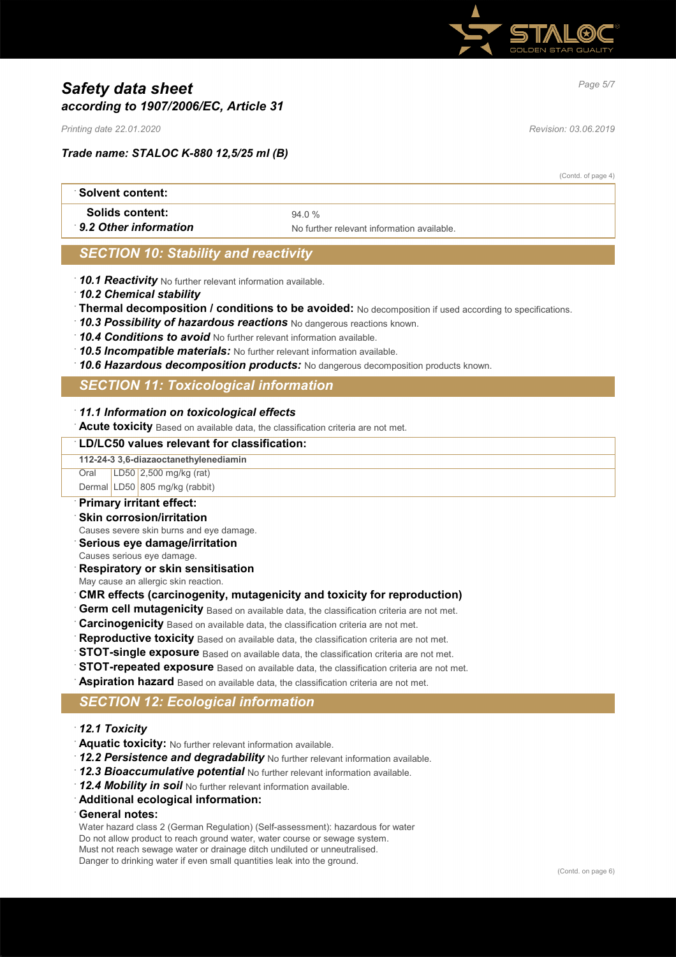

# *Page 5/7 Safety data sheet according to 1907/2006/EC, Article 31*

*Printing date 22.01.2020 Revision: 03.06.2019*

### *Trade name: STALOC K-880 12,5/25 ml (B)*

(Contd. of page 4)

| ∶Solvent content:      |                                            |  |
|------------------------|--------------------------------------------|--|
| <b>Solids content:</b> | 940%                                       |  |
| 9.2 Other information  | No further relevant information available. |  |

## *SECTION 10: Stability and reactivity*

- · *10.1 Reactivity* No further relevant information available.
- · *10.2 Chemical stability*
- · **Thermal decomposition / conditions to be avoided:** No decomposition if used according to specifications.
- · *10.3 Possibility of hazardous reactions* No dangerous reactions known.
- · *10.4 Conditions to avoid* No further relevant information available.
- · *10.5 Incompatible materials:* No further relevant information available.
- · *10.6 Hazardous decomposition products:* No dangerous decomposition products known.

## *SECTION 11: Toxicological information*

#### · *11.1 Information on toxicological effects*

**Acute toxicity** Based on available data, the classification criteria are not met.

#### · **LD/LC50 values relevant for classification:**

**112-24-3 3,6-diazaoctanethylenediamin**

Oral LD50 2,500 mg/kg (rat) Dermal LD50 805 mg/kg (rabbit)

## · **Primary irritant effect:**

- **Skin corrosion/irritation**
- Causes severe skin burns and eye damage.
- · **Serious eye damage/irritation**
- Causes serious eye damage.
- · **Respiratory or skin sensitisation**
- May cause an allergic skin reaction.

#### · **CMR effects (carcinogenity, mutagenicity and toxicity for reproduction)**

- **Germ cell mutagenicity** Based on available data, the classification criteria are not met.
- **Carcinogenicity** Based on available data, the classification criteria are not met.
- Reproductive toxicity Based on available data, the classification criteria are not met.
- **STOT-single exposure** Based on available data, the classification criteria are not met.
- **STOT-repeated exposure** Based on available data, the classification criteria are not met.
- · **Aspiration hazard** Based on available data, the classification criteria are not met.

## *SECTION 12: Ecological information*

- · *12.1 Toxicity*
- · **Aquatic toxicity:** No further relevant information available.
- · *12.2 Persistence and degradability* No further relevant information available.
- · *12.3 Bioaccumulative potential* No further relevant information available.
- · *12.4 Mobility in soil* No further relevant information available.
- · **Additional ecological information:**

#### · **General notes:**

Water hazard class 2 (German Regulation) (Self-assessment): hazardous for water Do not allow product to reach ground water, water course or sewage system. Must not reach sewage water or drainage ditch undiluted or unneutralised. Danger to drinking water if even small quantities leak into the ground.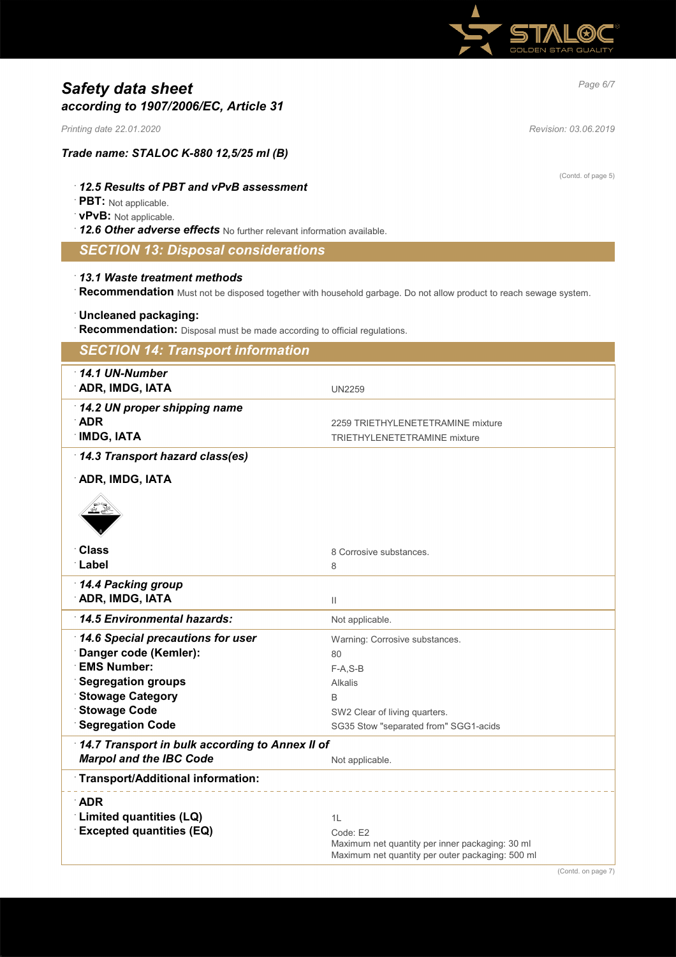

# *Page 6/7 Safety data sheet according to 1907/2006/EC, Article 31*

*Printing date 22.01.2020 Revision: 03.06.2019*

(Contd. of page 5)

## *Trade name: STALOC K-880 12,5/25 ml (B)*

## · *12.5 Results of PBT and vPvB assessment*

· **PBT:** Not applicable.

#### · **vPvB:** Not applicable.

· *12.6 Other adverse effects* No further relevant information available.

## *SECTION 13: Disposal considerations*

#### · *13.1 Waste treatment methods*

· **Recommendation** Must not be disposed together with household garbage. Do not allow product to reach sewage system.

### · **Uncleaned packaging:**

· **Recommendation:** Disposal must be made according to official regulations.

| <b>SECTION 14: Transport information</b>        |                                                  |
|-------------------------------------------------|--------------------------------------------------|
| $14.1$ UN-Number                                |                                                  |
| <b>ADR, IMDG, IATA</b>                          | <b>UN2259</b>                                    |
| 14.2 UN proper shipping name                    |                                                  |
| <b>ADR</b>                                      | 2259 TRIETHYLENETETRAMINE mixture                |
| <b>IMDG, IATA</b>                               | TRIETHYLENETETRAMINE mixture                     |
| 14.3 Transport hazard class(es)                 |                                                  |
| <b>ADR, IMDG, IATA</b>                          |                                                  |
|                                                 |                                                  |
|                                                 |                                                  |
| <b>Class</b>                                    | 8 Corrosive substances.                          |
| ∴Label                                          | 8                                                |
| 14.4 Packing group                              |                                                  |
| <b>ADR, IMDG, IATA</b>                          | Ш                                                |
| 14.5 Environmental hazards:                     | Not applicable.                                  |
| 14.6 Special precautions for user               | Warning: Corrosive substances.                   |
| Danger code (Kemler):                           | 80                                               |
| <b>EMS Number:</b>                              | $F-A, S-B$                                       |
| <b>Segregation groups</b>                       | <b>Alkalis</b>                                   |
| <b>Stowage Category</b>                         | B                                                |
| <b>Stowage Code</b>                             | SW2 Clear of living quarters.                    |
| <b>Segregation Code</b>                         | SG35 Stow "separated from" SGG1-acids            |
| 14.7 Transport in bulk according to Annex II of |                                                  |
| <b>Marpol and the IBC Code</b>                  | Not applicable.                                  |
| Transport/Additional information:               |                                                  |
| <b>ADR</b>                                      |                                                  |
| Limited quantities (LQ)                         | 1L                                               |
| <b>Excepted quantities (EQ)</b>                 | Code: E2                                         |
|                                                 | Maximum net quantity per inner packaging: 30 ml  |
|                                                 | Maximum net quantity per outer packaging: 500 ml |